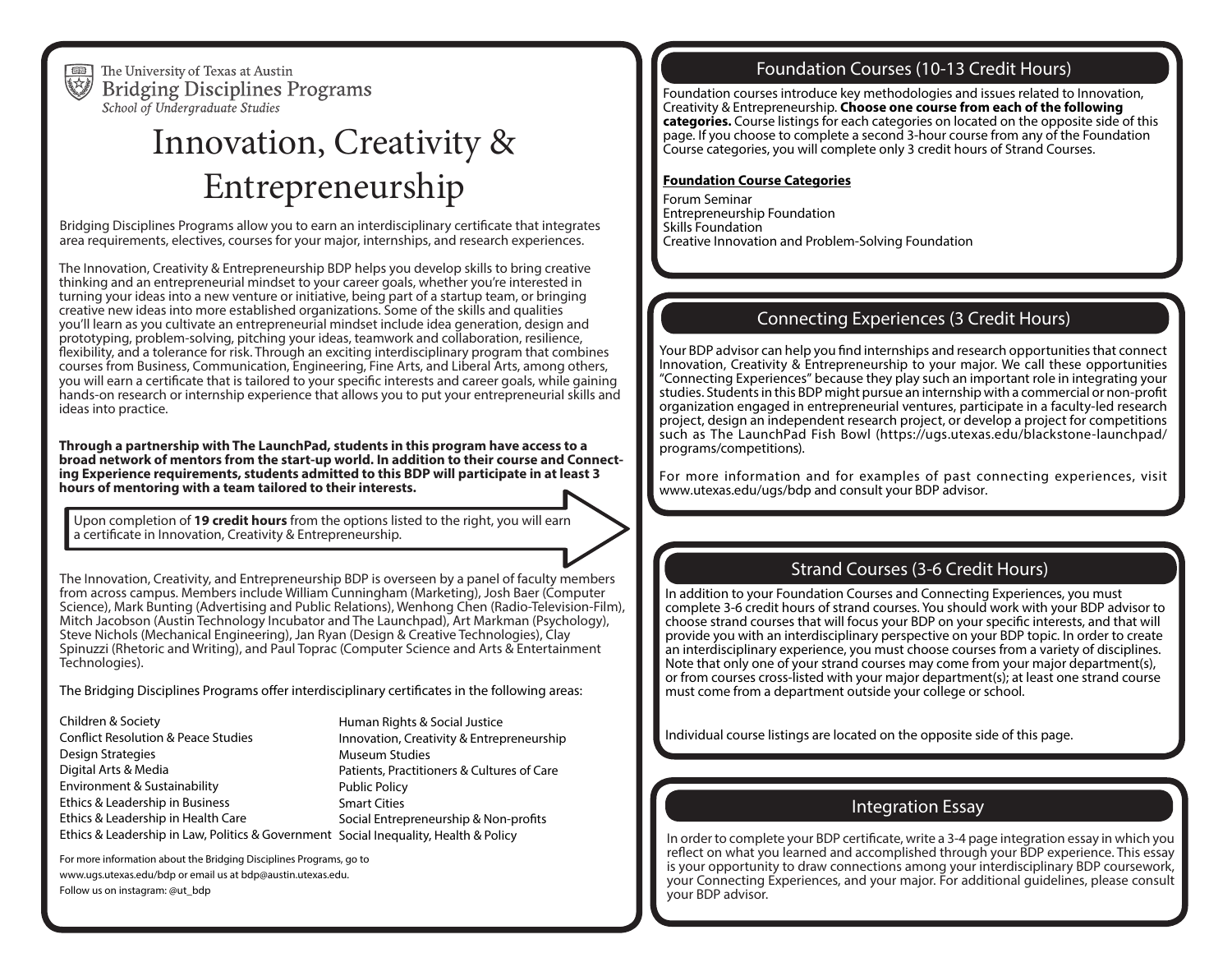

The University of Texas at Austin **Bridging Disciplines Programs** School of Undergraduate Studies

# Innovation, Creativity & Entrepreneurship

Bridging Disciplines Programs allow you to earn an interdisciplinary certificate that integrates area requirements, electives, courses for your major, internships, and research experiences.

The Innovation, Creativity & Entrepreneurship BDP helps you develop skills to bring creative thinking and an entrepreneurial mindset to your career goals, whether you're interested in turning your ideas into a new venture or initiative, being part of a startup team, or bringing creative new ideas into more established organizations. Some of the skills and qualities you'll learn as you cultivate an entrepreneurial mindset include idea generation, design and prototyping, problem-solving, pitching your ideas, teamwork and collaboration, resilience, flexibility, and a tolerance for risk. Through an exciting interdisciplinary program that combines courses from Business, Communication, Engineering, Fine Arts, and Liberal Arts, among others, you will earn a certificate that is tailored to your specific interests and career goals, while gaining hands-on research or internship experience that allows you to put your entrepreneurial skills and ideas into practice.

**Through a partnership with The LaunchPad, students in this program have access to a broad network of mentors from the start-up world. In addition to their course and Connecting Experience requirements, students admitted to this BDP will participate in at least 3 hours of mentoring with a team tailored to their interests.**

Upon completion of **19 credit hours** from the options listed to the right, you will earn a certificate in Innovation, Creativity & Entrepreneurship.

The Innovation, Creativity, and Entrepreneurship BDP is overseen by a panel of faculty members from across campus. Members include William Cunningham (Marketing), Josh Baer (Computer Science), Mark Bunting (Advertising and Public Relations), Wenhong Chen (Radio-Television-Film), Mitch Jacobson (Austin Technology Incubator and The Launchpad), Art Markman (Psychology), Steve Nichols (Mechanical Engineering), Jan Ryan (Design & Creative Technologies), Clay Spinuzzi (Rhetoric and Writing), and Paul Toprac (Computer Science and Arts & Entertainment Technologies).

The Bridging Disciplines Programs offer interdisciplinary certificates in the following areas:

Children & Society Conflict Resolution & Peace Studies Design Strategies Digital Arts & Media Environment & Sustainability Ethics & Leadership in Business Ethics & Leadership in Health Care

Ethics & Leadership in Law, Politics & Government Social Inequality, Health & Policy Human Rights & Social Justice Innovation, Creativity & Entrepreneurship Museum Studies Patients, Practitioners & Cultures of Care Public Policy Smart Cities Social Entrepreneurship & Non-profits

For more information about the Bridging Disciplines Programs, go to www.ugs.utexas.edu/bdp or email us at bdp@austin.utexas.edu. Follow us on instagram: @ut\_bdp

# Foundation Courses (10-13 Credit Hours)

Foundation courses introduce key methodologies and issues related to Innovation, Creativity & Entrepreneurship. **Choose one course from each of the following categories.** Course listings for each categories on located on the opposite side of this page. If you choose to complete a second 3-hour course from any of the Foundation Course categories, you will complete only 3 credit hours of Strand Courses.

### **Foundation Course Categories**

Forum Seminar Entrepreneurship Foundation Skills Foundation Creative Innovation and Problem-Solving Foundation

# Connecting Experiences (3 Credit Hours)

Your BDP advisor can help you find internships and research opportunities that connect Innovation, Creativity & Entrepreneurship to your major. We call these opportunities "Connecting Experiences" because they play such an important role in integrating your studies. Students in this BDP might pursue an internship with a commercial or non-profit organization engaged in entrepreneurial ventures, participate in a faculty-led research project, design an independent research project, or develop a project for competitions such as The LaunchPad Fish Bowl (https://ugs.utexas.edu/blackstone-launchpad/ programs/competitions).

For more information and for examples of past connecting experiences, visit www.utexas.edu/ugs/bdp and consult your BDP advisor.

# Strand Courses (3-6 Credit Hours)

In addition to your Foundation Courses and Connecting Experiences, you must complete 3-6 credit hours of strand courses. You should work with your BDP advisor to choose strand courses that will focus your BDP on your specific interests, and that will provide you with an interdisciplinary perspective on your BDP topic. In order to create an interdisciplinary experience, you must choose courses from a variety of disciplines. Note that only one of your strand courses may come from your major department(s), or from courses cross-listed with your major department(s); at least one strand course must come from a department outside your college or school.

Individual course listings are located on the opposite side of this page.

# Integration Essay

In order to complete your BDP certificate, write a 3-4 page integration essay in which you reflect on what you learned and accomplished through your BDP experience. This essay is your opportunity to draw connections among your interdisciplinary BDP coursework, your Connecting Experiences, and your major. For additional guidelines, please consult your BDP advisor.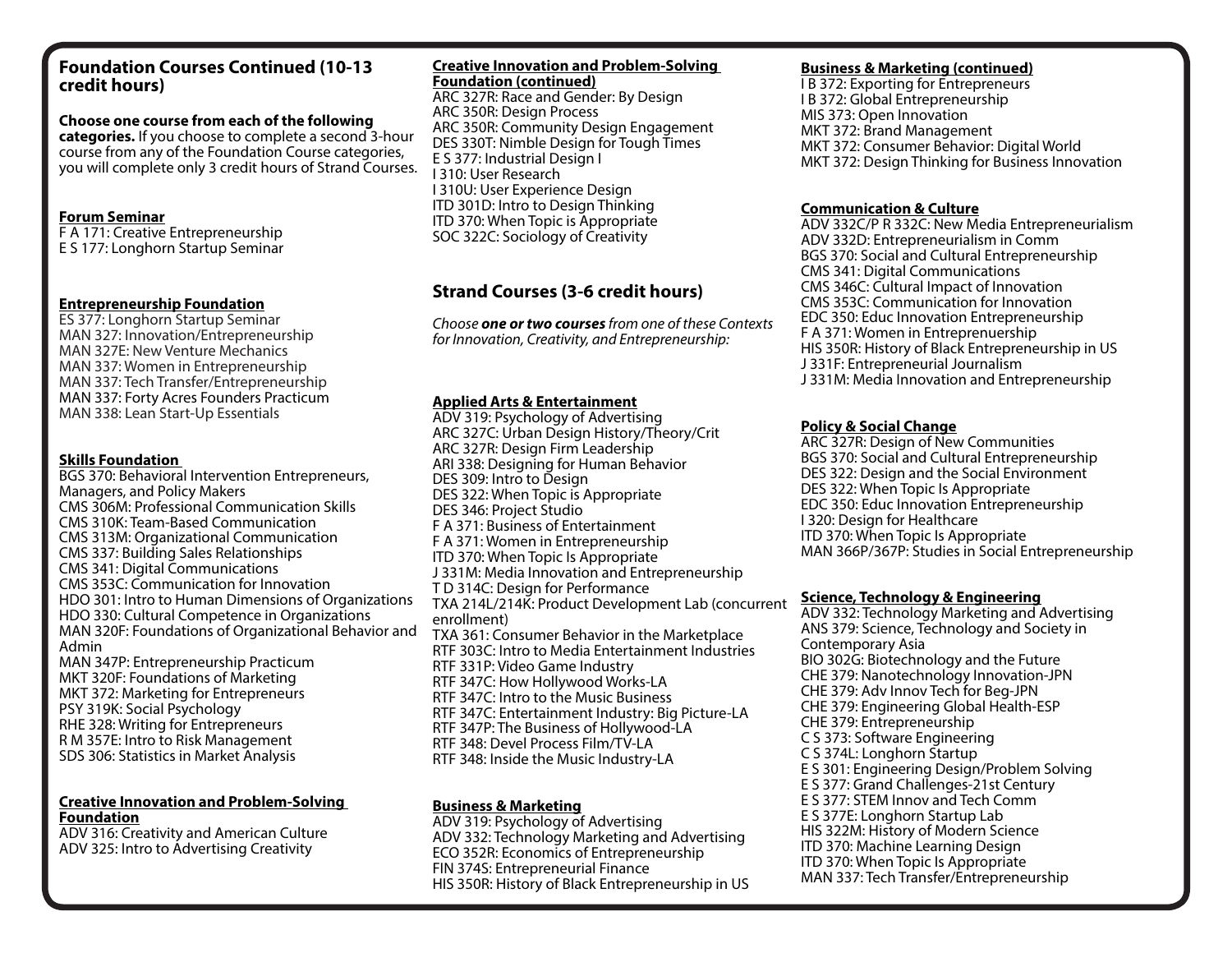# **Foundation Courses Continued (10-13 credit hours)**

#### **Choose one course from each of the following categories.** If you choose to complete a second 3-hour course from any of the Foundation Course categories, you will complete only 3 credit hours of Strand Courses.

## **Forum Seminar**

F A 171: Creative Entrepreneurship E S 177: Longhorn Startup Seminar

#### **Entrepreneurship Foundation**

ES 377: Longhorn Startup Seminar MAN 327: Innovation/Entrepreneurship MAN 327E: New Venture Mechanics MAN 337: Women in Entrepreneurship MAN 337: Tech Transfer/Entrepreneurship MAN 337: Forty Acres Founders Practicum MAN 338: Lean Start-Up Essentials

## **Skills Foundation**

BGS 370: Behavioral Intervention Entrepreneurs, Managers, and Policy Makers CMS 306M: Professional Communication Skills CMS 310K: Team-Based Communication CMS 313M: Organizational Communication CMS 337: Building Sales Relationships CMS 341: Digital Communications CMS 353C: Communication for Innovation HDO 301: Intro to Human Dimensions of Organizations HDO 330: Cultural Competence in Organizations MAN 320F: Foundations of Organizational Behavior and Admin MAN 347P: Entrepreneurship Practicum MKT 320F: Foundations of Marketing MKT 372: Marketing for Entrepreneurs PSY 319K: Social Psychology RHE 328: Writing for Entrepreneurs R M 357E: Intro to Risk Management

# SDS 306: Statistics in Market Analysis

#### **Creative Innovation and Problem-Solving Foundation**

ADV 316: Creativity and American Culture ADV 325: Intro to Advertising Creativity

## **Creative Innovation and Problem-Solving Foundation (continued)**

ARC 327R: Race and Gender: By Design ARC 350R: Design Process ARC 350R: Community Design Engagement DES 330T: Nimble Design for Tough Times E S 377: Industrial Design I I 310: User Research I 310U: User Experience Design ITD 301D: Intro to Design Thinking ITD 370: When Topic is Appropriate SOC 322C: Sociology of Creativity

# **Strand Courses (3-6 credit hours)**

*Choose one or two courses from one of these Contexts for Innovation, Creativity, and Entrepreneurship:*

# **Applied Arts & Entertainment**

ADV 319: Psychology of Advertising ARC 327C: Urban Design History/Theory/Crit ARC 327R: Design Firm Leadership ARI 338: Designing for Human Behavior DES 309: Intro to Design DES 322: When Topic is Appropriate DES 346: Project Studio F A 371: Business of Entertainment F A 371: Women in Entrepreneurship ITD 370: When Topic Is Appropriate J 331M: Media Innovation and Entrepreneurship T D 314C: Design for Performance TXA 214L/214K: Product Development Lab (concurrent enrollment) TXA 361: Consumer Behavior in the Marketplace RTF 303C: Intro to Media Entertainment Industries RTF 331P: Video Game Industry RTF 347C: How Hollywood Works-LA RTF 347C: Intro to the Music Business RTF 347C: Entertainment Industry: Big Picture-LA RTF 347P: The Business of Hollywood-LA RTF 348: Devel Process Film/TV-LA RTF 348: Inside the Music Industry-LA

## **Business & Marketing**

ADV 319: Psychology of Advertising ADV 332: Technology Marketing and Advertising ECO 352R: Economics of Entrepreneurship FIN 374S: Entrepreneurial Finance HIS 350R: History of Black Entrepreneurship in US

## **Business & Marketing (continued)**

I B 372: Exporting for Entrepreneurs I B 372: Global Entrepreneurship MIS 373: Open Innovation MKT 372: Brand Management MKT 372: Consumer Behavior: Digital World MKT 372: Design Thinking for Business Innovation

## **Communication & Culture**

ADV 332C/P R 332C: New Media Entrepreneurialism ADV 332D: Entrepreneurialism in Comm BGS 370: Social and Cultural Entrepreneurship CMS 341: Digital Communications CMS 346C: Cultural Impact of Innovation CMS 353C: Communication for Innovation EDC 350: Educ Innovation Entrepreneurship F A 371: Women in Entreprenuership HIS 350R: History of Black Entrepreneurship in US J 331F: Entrepreneurial Journalism J 331M: Media Innovation and Entrepreneurship

## **Policy & Social Change**

ARC 327R: Design of New Communities BGS 370: Social and Cultural Entrepreneurship DES 322: Design and the Social Environment DES 322: When Topic Is Appropriate EDC 350: Educ Innovation Entrepreneurship I 320: Design for Healthcare ITD 370: When Topic Is Appropriate MAN 366P/367P: Studies in Social Entrepreneurship

## **Science, Technology & Engineering**

ADV 332: Technology Marketing and Advertising ANS 379: Science, Technology and Society in Contemporary Asia BIO 302G: Biotechnology and the Future CHE 379: Nanotechnology Innovation-JPN CHE 379: Adv Innov Tech for Beg-JPN CHE 379: Engineering Global Health-ESP CHE 379: Entrepreneurship C S 373: Software Engineering C S 374L: Longhorn Startup E S 301: Engineering Design/Problem Solving E S 377: Grand Challenges-21st Century E S 377: STEM Innov and Tech Comm E S 377E: Longhorn Startup Lab HIS 322M: History of Modern Science ITD 370: Machine Learning Design ITD 370: When Topic Is Appropriate MAN 337: Tech Transfer/Entrepreneurship